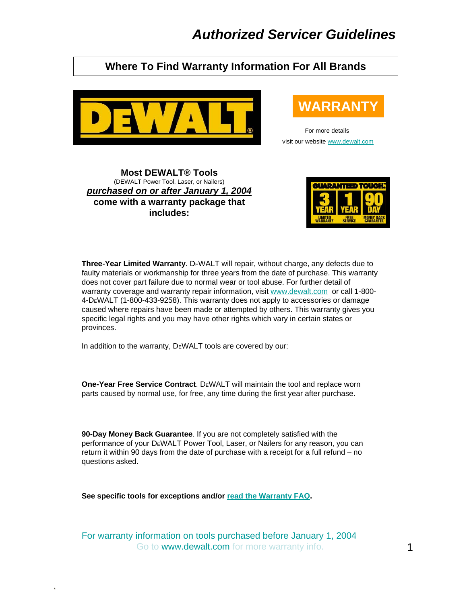## **Where To Find Warranty Information For All Brands**



# **WARRANT**

For more details visit our website [www.dewalt.com](http://www.dewalt.com/)

**Most DEWALT® Tools**  (DEWALT Power Tool, Laser, or Nailers) *purchased on or after January 1, 2004* **come with a warranty package that includes:**



**Three-Year Limited Warranty.** DEWALT will repair, without charge, any defects due to faulty materials or workmanship for three years from the date of purchase. This warranty does not cover part failure due to normal wear or tool abuse. For further detail of warranty coverage and warranty repair information, visit [www.dewalt.com](http://www.dewalt.com/) or call 1-800- 4-DE WALT (1-800-433-9258). This warranty does not apply to accessories or damage caused where repairs have been made or attempted by others. This warranty gives you specific legal rights and you may have other rights which vary in certain states or provinces.

In addition to the warranty, DEWALT tools are covered by our:

**One-Year Free Service Contract.** DEWALT will maintain the tool and replace worn parts caused by normal use, for free, any time during the first year after purchase.

**90-Day Money Back Guarantee**. If you are not completely satisfied with the performance of your DEWALT Power Tool, Laser, or Nailers for any reason, you can return it within 90 days from the date of purchase with a receipt for a full refund – no questions asked.

**See specific tools for exceptions and/or [read the Warranty FAQ.](http://support.dewalt.com/cgi-bin/dewalt.cfg/php/enduser/std_adp.php?p_faqid=742)**

[For warranty information on tools purchased before January 1, 2004](http://support.dewalt.com/cgi-bin/dewalt.cfg/php/enduser/std_adp.php?p_faqid=893) Go to [www.dewalt.com](http://www.dewalt.com/) for more warranty info.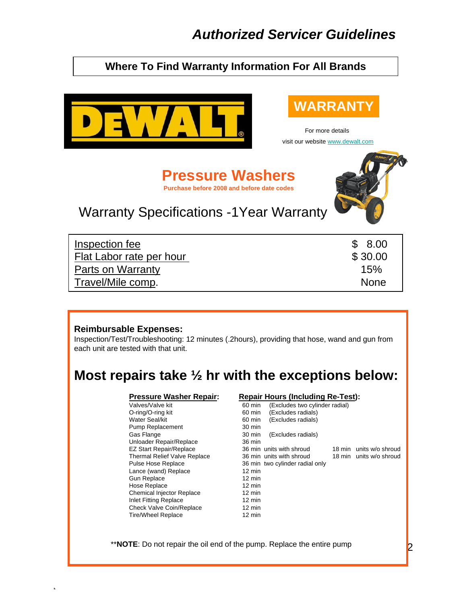## **Where To Find Warranty Information For All Brands**



## **WARRANTY**

For more details visit our website [www.dewalt.com](http://www.dewalt.com/)

**Pressure Washers Purchase before 2008 and before date codes**



# Warranty Specifications -1Year Warranty

| Inspection fee           | \$8.00      |
|--------------------------|-------------|
| Flat Labor rate per hour | \$30.00     |
| Parts on Warranty        | 15%         |
| Travel/Mile comp.        | <b>None</b> |

#### **Reimbursable Expenses:**

Inspection/Test/Troubleshooting: 12 minutes (.2hours), providing that hose, wand and gun from each unit are tested with that unit.

# **Most repairs take ½ hr with the exceptions below:**

Pump Replacement Unloader Repair/Replace 36 min Lance (wand) Replace 12 min<br>
Gun Replace 12 min Gun Replace Hose Replace 12 min Chemical Injector Replace 12 min Inlet Fitting Replace 12 min Check Valve Coin/Replace 12 min Tire/Wheel Replace 12 min

#### **Pressure Washer Repair: Repair Hours (Including Re-Test):**

Valves/Valve kit **60 min** (Excludes two cylinder radial) O-ring/O-ring kit 60 min (Excludes radials) Water Seal/kit 60 min (Excludes radials)<br>
Pump Replacement 30 min (Excludes radials) Gas Flange 30 min (Excludes radials) EZ Start Repair/Replace 36 min units with shroud 18 min units w/o shroud Thermal Relief Valve Replace 36 min units with shroud 18 min units w/o shroud Pulse Hose Replace 36 min two cylinder radial only

\*\***NOTE**: Do not repair the oil end of the pump. Replace the entire pump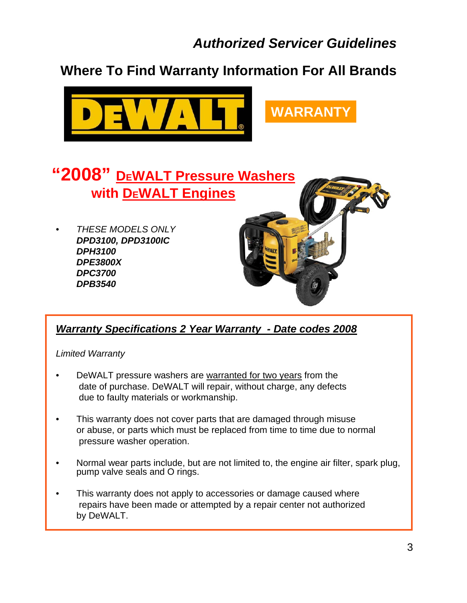**Where To Find Warranty Information For All Brands**





## *Warranty Specifications 2 Year Warranty - Date codes 2008*

#### *Limited Warranty*

- DeWALT pressure washers are warranted for two years from the date of purchase. DeWALT will repair, without charge, any defects due to faulty materials or workmanship.
- This warranty does not cover parts that are damaged through misuse or abuse, or parts which must be replaced from time to time due to normal pressure washer operation.
- Normal wear parts include, but are not limited to, the engine air filter, spark plug, pump valve seals and O rings.
- This warranty does not apply to accessories or damage caused where repairs have been made or attempted by a repair center not authorized by DeWALT.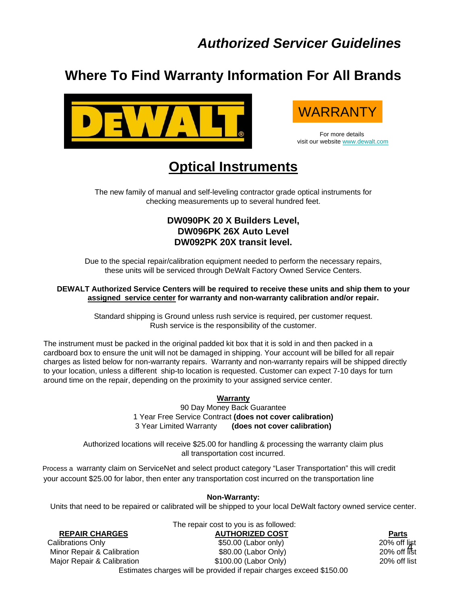## **Where To Find Warranty Information For All Brands**





For more details visit our website [www.dewalt.com](http://www.dewalt.com/)

# **Optical Instruments**

The new family of manual and self-leveling contractor grade optical instruments for checking measurements up to several hundred feet.

#### **DW090PK 20 X Builders Level, DW096PK 26X Auto Level DW092PK 20X transit level.**

Due to the special repair/calibration equipment needed to perform the necessary repairs, these units will be serviced through DeWalt Factory Owned Service Centers.

#### **DEWALT Authorized Service Centers will be required to receive these units and ship them to your assigned service center for warranty and non-warranty calibration and/or repair.**

Standard shipping is Ground unless rush service is required, per customer request. Rush service is the responsibility of the customer.

The instrument must be packed in the original padded kit box that it is sold in and then packed in a cardboard box to ensure the unit will not be damaged in shipping. Your account will be billed for all repair charges as listed below for non-warranty repairs. Warranty and non-warranty repairs will be shipped directly to your location, unless a different ship-to location is requested. Customer can expect 7-10 days for turn around time on the repair, depending on the proximity to your assigned service center.

#### **Warranty**

90 Day Money Back Guarantee 1 Year Free Service Contract **(does not cover calibration)** 3 Year Limited Warranty **(does not cover calibration)**

Authorized locations will receive \$25.00 for handling & processing the warranty claim plus all transportation cost incurred.

Process a warranty claim on ServiceNet and select product category "Laser Transportation" this will credit your account \$25.00 for labor, then enter any transportation cost incurred on the transportation line

#### **Non-Warranty:**

Units that need to be repaired or calibrated will be shipped to your local DeWalt factory owned service center.

The repair cost to you is as followed:

#### **REPAIR CHARGES AUTHORIZED COST Parts**

20% off list<br>20% off list

Calibrations Only **2008** Calibrations Only **2008** 2009 (Labor only) Minor Repair & Calibration  $$80.00$  (Labor Only) Major Repair & Calibration **\$100.00 (Labor Only)** 20% off list

Estimates charges will be provided if repair charges exceed \$150.00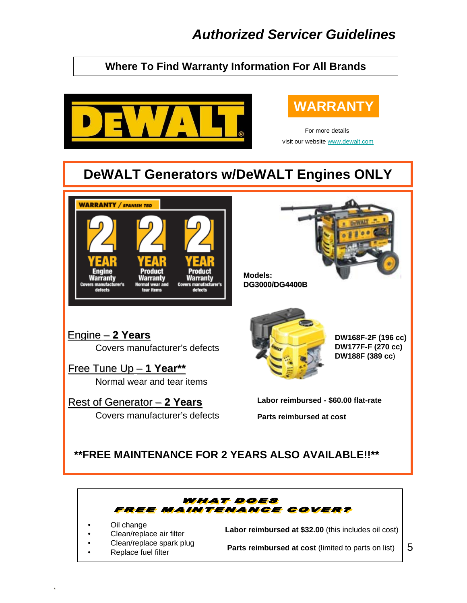## **Where To Find Warranty Information For All Brands**



# **WARRANTY**

For more details visit our website [www.dewalt.com](http://www.dewalt.com/)

# **DeWALT Generators w/DeWALT Engines ONLY**

**Models: Models:**

**DG3000/DG4400B**



Engine– – **2 Years 2 Years** Covers manufacturer's defects

Free Tune Up Free Tune Up – – **1 Year\*\* 1 Year\*\***

Normal wear and tear items

Rest of Generator Rest of Generator – – **2 Years 2 Years** Covers manufacturer's defects



**DW168F-2F (196 cc) DW177F-F (270 cc) DW188F (389 cc**)

**Labor reimbursed - \$60.00 flat-rate**

**Parts reimbursed at cost**

## **\*\*FREE MAINTENANCE FOR 2 YEARS ALSO AVAILABLE!!\*\***



- Oil change
- Clean/replace air filter
- Clean/replace spark plug
- Replace fuel filter

**Labor reimbursed at \$32.00** (this includes oil cost)

Parts reimbursed at cost (limited to parts on list)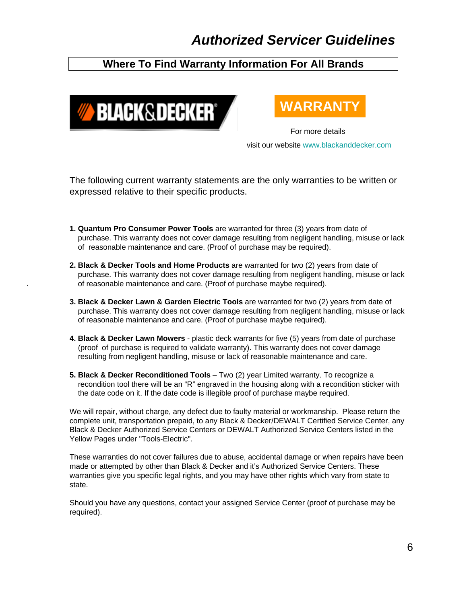## **Where To Find Warranty Information For All Brands**





For more details visit our website [www.blackanddecker.com](http://www.blackanddecker.com/)

The following current warranty statements are the only warranties to be written or expressed relative to their specific products.

- **1. Quantum Pro Consumer Power Tools** are warranted for three (3) years from date of purchase. This warranty does not cover damage resulting from negligent handling, misuse or lack of reasonable maintenance and care. (Proof of purchase may be required).
- **2. Black & Decker Tools and Home Products** are warranted for two (2) years from date of purchase. This warranty does not cover damage resulting from negligent handling, misuse or lack of reasonable maintenance and care. (Proof of purchase maybe required).
- **3. Black & Decker Lawn & Garden Electric Tools** are warranted for two (2) years from date of purchase. This warranty does not cover damage resulting from negligent handling, misuse or lack of reasonable maintenance and care. (Proof of purchase maybe required).
- **4. Black & Decker Lawn Mowers**  plastic deck warrants for five (5) years from date of purchase (proof of purchase is required to validate warranty). This warranty does not cover damage resulting from negligent handling, misuse or lack of reasonable maintenance and care.
- **5. Black & Decker Reconditioned Tools**  Two (2) year Limited warranty. To recognize a recondition tool there will be an "R" engraved in the housing along with a recondition sticker with the date code on it. If the date code is illegible proof of purchase maybe required.

We will repair, without charge, any defect due to faulty material or workmanship. Please return the complete unit, transportation prepaid, to any Black & Decker/DEWALT Certified Service Center, any Black & Decker Authorized Service Centers or DEWALT Authorized Service Centers listed in the Yellow Pages under "Tools-Electric".

These warranties do not cover failures due to abuse, accidental damage or when repairs have been made or attempted by other than Black & Decker and it's Authorized Service Centers. These warranties give you specific legal rights, and you may have other rights which vary from state to state.

Should you have any questions, contact your assigned Service Center (proof of purchase may be required).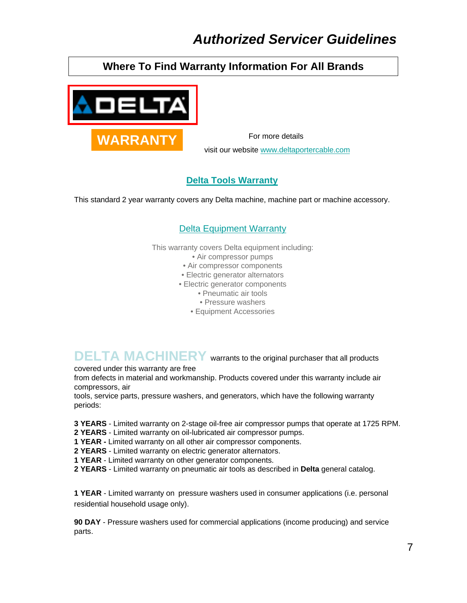## **Where To Find Warranty Information For All Brands**



visit our website [www.deltaportercable.com](http://www.deltaportercable.com/)

#### **[Delta Tools Warranty](http://media.ptg-online.com/media/dm/Warranties/20070404121137_Delta_Warranty.pdf)**

This standard 2 year warranty covers any Delta machine, machine part or machine accessory.

#### [Delta Equipment Warranty](http://media.ptg-online.com/media/dm/Warranties/20070404121503_Delta Equipment Warranty.pdf)

This warranty covers Delta equipment including:

- Air compressor pumps
- Air compressor components
- Electric generator alternators
- Electric generator components
	- Pneumatic air tools
	- Pressure washers
	- Equipment Accessories

**DELTA MACHINERY** warrants to the original purchaser that all products covered under this warranty are free

from defects in material and workmanship. Products covered under this warranty include air compressors, air

tools, service parts, pressure washers, and generators, which have the following warranty periods:

**3 YEARS** - Limited warranty on 2-stage oil-free air compressor pumps that operate at 1725 RPM.

- **2 YEARS**  Limited warranty on oil-lubricated air compressor pumps.
- **1 YEAR** Limited warranty on all other air compressor components.
- **2 YEARS**  Limited warranty on electric generator alternators.
- **1 YEAR**  Limited warranty on other generator components.
- **2 YEARS**  Limited warranty on pneumatic air tools as described in **Delta** general catalog.

**1 YEAR** - Limited warranty on pressure washers used in consumer applications (i.e. personal residential household usage only).

**90 DAY** - Pressure washers used for commercial applications (income producing) and service parts.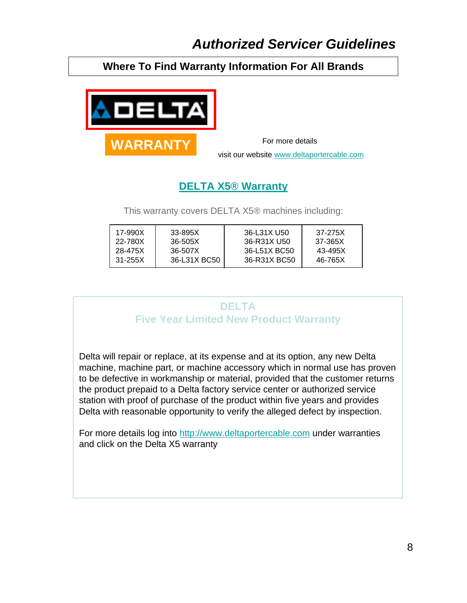## **Where To Find Warranty Information For All Brands**



visit our website [www.deltaportercable.com](http://www.deltaportercable.com/)

## **[DELTA X5® Warranty](http://media.ptg-online.com/media/dm/Warranties/20070404121553_Delta_X_Warranty.pdf)**

This warranty covers DELTA X5® machines including:

| 17-990X | 33-895X      | 36-L31X U50  | 37-275X |
|---------|--------------|--------------|---------|
| 22-780X | 36-505X      | 36-R31X U50  | 37-365X |
| 28-475X | 36-507X      | 36-L51X BC50 | 43-495X |
| 31-255X | 36-L31X BC50 | 36-R31X BC50 | 46-765X |

## **DELTA Five Year Limited New Product Warranty**

Delta will repair or replace, at its expense and at its option, any new Delta machine, machine part, or machine accessory which in normal use has proven to be defective in workmanship or material, provided that the customer returns the product prepaid to a Delta factory service center or authorized service station with proof of purchase of the product within five years and provides Delta with reasonable opportunity to verify the alleged defect by inspection.

For more details log into [http://www.deltaportercable.com u](http://www.deltaportercable.com/)nder warranties and click on the Delta X5 warranty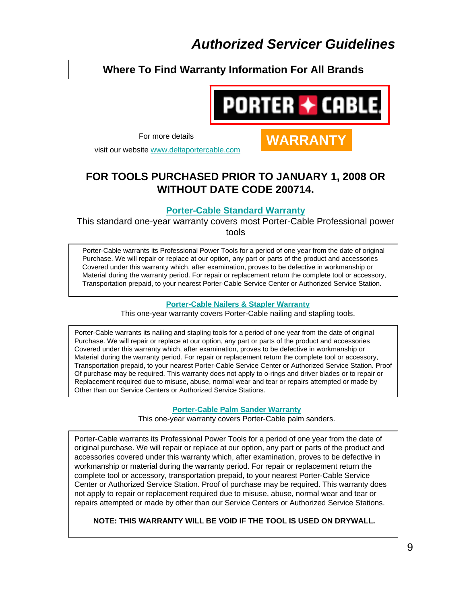### **Where To Find Warranty Information For All Brands**



For more details **WARRANTY** 

visit our website [www.deltaportercable.com](http://www.deltaportercable.com/)

## **FOR TOOLS PURCHASED PRIOR TO JANUARY 1, 2008 OR WITHOUT DATE CODE 200714.**

#### **[Porter-Cable Standard Warranty](http://media.ptg-online.com/media/pc/Warranties/20030107094246_PC Standard Warranty.pdf)**

This standard one-year warranty covers most Porter-Cable Professional power tools

Porter-Cable warrants its Professional Power Tools for a period of one year from the date of original Purchase. We will repair or replace at our option, any part or parts of the product and accessories Covered under this warranty which, after examination, proves to be defective in workmanship or Material during the warranty period. For repair or replacement return the complete tool or accessory, Transportation prepaid, to your nearest Porter-Cable Service Center or Authorized Service Station.

#### **[Porter-Cable Nailers & Stapler Warranty](http://media.ptg-online.com/media/pc/Warranties/20030107094151_PC Air Tool Warranty.pdf)**

This one-year warranty covers Porter-Cable nailing and stapling tools.

Porter-Cable warrants its nailing and stapling tools for a period of one year from the date of original Purchase. We will repair or replace at our option, any part or parts of the product and accessories Covered under this warranty which, after examination, proves to be defective in workmanship or Material during the warranty period. For repair or replacement return the complete tool or accessory, Transportation prepaid, to your nearest Porter-Cable Service Center or Authorized Service Station. Proof Of purchase may be required. This warranty does not apply to o-rings and driver blades or to repair or Replacement required due to misuse, abuse, normal wear and tear or repairs attempted or made by Other than our Service Centers or Authorized Service Stations.

#### **[Porter-Cable Palm Sander Warranty](http://media.ptg-online.com/media/pc/Warranties/20030107094229_PC Palm Sander Warranty.pdf)**

This one-year warranty covers Porter-Cable palm sanders.

Porter-Cable warrants its Professional Power Tools for a period of one year from the date of original purchase. We will repair or replace at our option, any part or parts of the product and accessories covered under this warranty which, after examination, proves to be defective in workmanship or material during the warranty period. For repair or replacement return the complete tool or accessory, transportation prepaid, to your nearest Porter-Cable Service Center or Authorized Service Station. Proof of purchase may be required. This warranty does not apply to repair or replacement required due to misuse, abuse, normal wear and tear or repairs attempted or made by other than our Service Centers or Authorized Service Stations.

**NOTE: THIS WARRANTY WILL BE VOID IF THE TOOL IS USED ON DRYWALL.**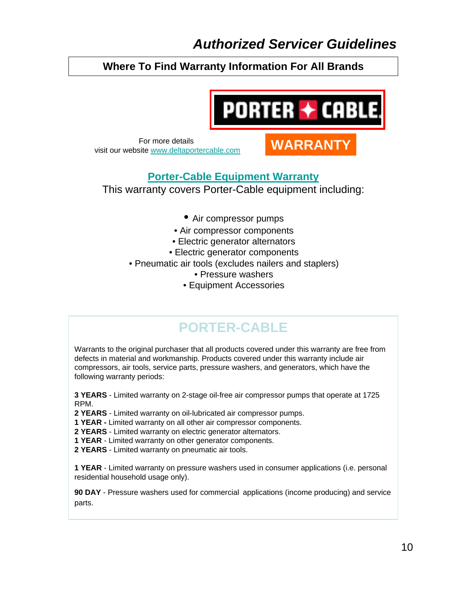## **Where To Find Warranty Information For All Brands**



For more details<br>**WARRANT** visit our website [www.deltaportercable.com](http://www.deltaportercable.com/)

## **[Porter-Cable Equipment Warranty](http://media.ptg-online.com/20061129074948_PC_Equipment_Warranty.pdf)**

This warranty covers Porter-Cable equipment including:

- Air compressor pumps
- Air compressor components
- Electric generator alternators
- Electric generator components
- Pneumatic air tools (excludes nailers and staplers)
	- Pressure washers
	- Equipment Accessories

# **PORTER-CABLE**

Warrants to the original purchaser that all products covered under this warranty are free from defects in material and workmanship. Products covered under this warranty include air compressors, air tools, service parts, pressure washers, and generators, which have the following warranty periods:

**3 YEARS** - Limited warranty on 2-stage oil-free air compressor pumps that operate at 1725 RPM.

**2 YEARS** - Limited warranty on oil-lubricated air compressor pumps.

**1 YEAR -** Limited warranty on all other air compressor components.

**2 YEARS** - Limited warranty on electric generator alternators.

**1 YEAR** - Limited warranty on other generator components.

**2 YEARS** - Limited warranty on pneumatic air tools.

**1 YEAR** - Limited warranty on pressure washers used in consumer applications (i.e. personal residential household usage only).

**90 DAY** - Pressure washers used for commercial applications (income producing) and service parts.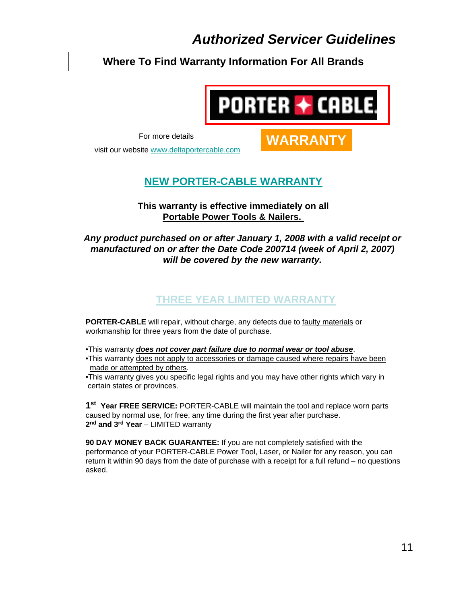## **Where To Find Warranty Information For All Brands**



**WARRANTY**

For more details

visit our website [www.deltaportercable.com](http://www.deltaportercable.com/)

## **[NEW PORTER-CABLE WARRANTY](http://www.deltaportercable.com/uploads/PCD/Warranty/Three_Year_Limited_Warranty.pdf)**

#### **This warranty is effective immediately on all Portable Power Tools & Nailers.**

#### *Any product purchased on or after January 1, 2008 with a valid receipt or manufactured on or after the Date Code 200714 (week of April 2, 2007) will be covered by the new warranty.*

## **THREE YEAR LIMITED WARRANTY**

**PORTER-CABLE** will repair, without charge, any defects due to faulty materials or workmanship for three years from the date of purchase.

•This warranty *does not cover part failure due to normal wear or tool abuse*.

•This warranty does not apply to accessories or damage caused where repairs have been made or attempted by others.

•This warranty gives you specific legal rights and you may have other rights which vary in certain states or provinces.

**1st Year FREE SERVICE:** PORTER-CABLE will maintain the tool and replace worn parts caused by normal use, for free, any time during the first year after purchase. 2<sup>nd</sup> and 3<sup>rd</sup> Year - LIMITED warranty

**90 DAY MONEY BACK GUARANTEE:** If you are not completely satisfied with the performance of your PORTER-CABLE Power Tool, Laser, or Nailer for any reason, you can return it within 90 days from the date of purchase with a receipt for a full refund – no questions asked.